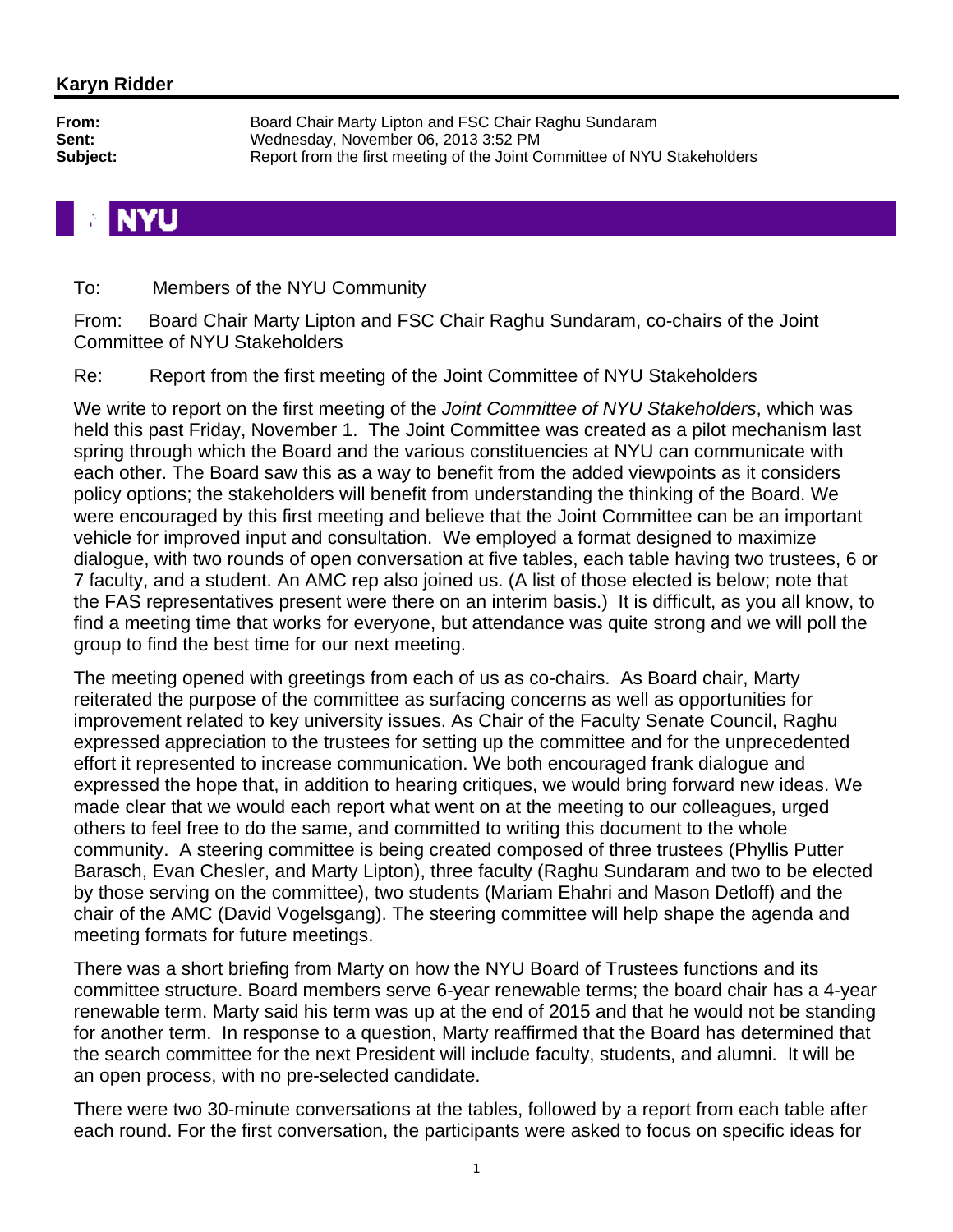To: Members of the NYU Community

From: Board Chair Marty Lipton and FSC Chair Raghu Sundaram, co-chairs of the Joint Committee of NYU Stakeholders

Re: Report from the first meeting of the Joint Committee of NYU Stakeholders

We write to report on the first meeting of the *Joint Committee of NYU Stakeholders*, which was held this past Friday, November 1. The Joint Committee was created as a pilot mechanism last spring through which the Board and the various constituencies at NYU can communicate with each other. The Board saw this as a way to benefit from the added viewpoints as it considers policy options; the stakeholders will benefit from understanding the thinking of the Board. We were encouraged by this first meeting and believe that the Joint Committee can be an important vehicle for improved input and consultation. We employed a format designed to maximize dialogue, with two rounds of open conversation at five tables, each table having two trustees, 6 or 7 faculty, and a student. An AMC rep also joined us. (A list of those elected is below; note that the FAS representatives present were there on an interim basis.) It is difficult, as you all know, to find a meeting time that works for everyone, but attendance was quite strong and we will poll the group to find the best time for our next meeting.

The meeting opened with greetings from each of us as co-chairs. As Board chair, Marty reiterated the purpose of the committee as surfacing concerns as well as opportunities for improvement related to key university issues. As Chair of the Faculty Senate Council, Raghu expressed appreciation to the trustees for setting up the committee and for the unprecedented effort it represented to increase communication. We both encouraged frank dialogue and expressed the hope that, in addition to hearing critiques, we would bring forward new ideas. We made clear that we would each report what went on at the meeting to our colleagues, urged others to feel free to do the same, and committed to writing this document to the whole community. A steering committee is being created composed of three trustees (Phyllis Putter Barasch, Evan Chesler, and Marty Lipton), three faculty (Raghu Sundaram and two to be elected by those serving on the committee), two students (Mariam Ehahri and Mason Detloff) and the chair of the AMC (David Vogelsgang). The steering committee will help shape the agenda and meeting formats for future meetings.

There was a short briefing from Marty on how the NYU Board of Trustees functions and its committee structure. Board members serve 6-year renewable terms; the board chair has a 4-year renewable term. Marty said his term was up at the end of 2015 and that he would not be standing for another term. In response to a question, Marty reaffirmed that the Board has determined that the search committee for the next President will include faculty, students, and alumni. It will be an open process, with no pre-selected candidate.

There were two 30-minute conversations at the tables, followed by a report from each table after each round. For the first conversation, the participants were asked to focus on specific ideas for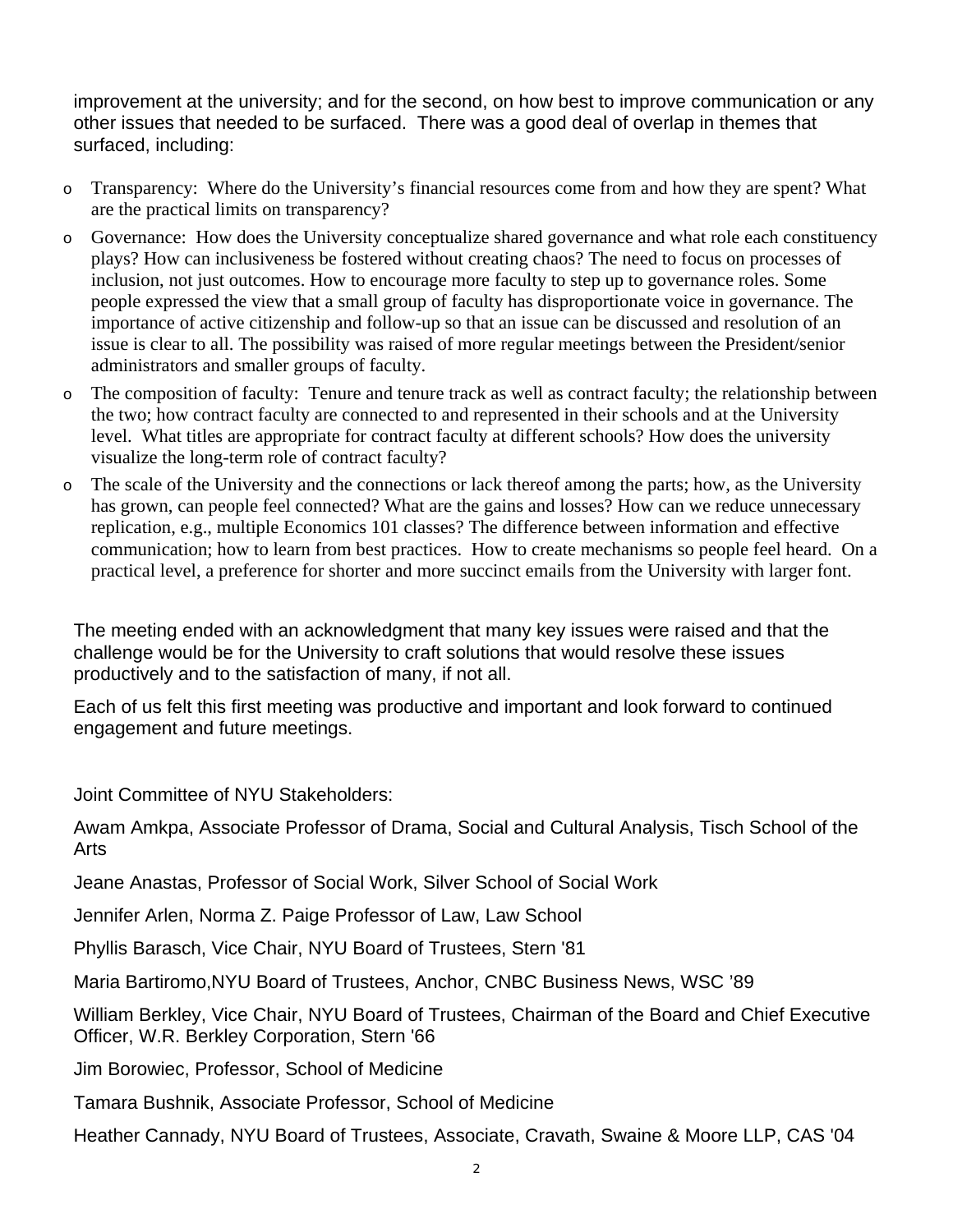improvement at the university; and for the second, on how best to improve communication or any other issues that needed to be surfaced. There was a good deal of overlap in themes that surfaced, including:

- o Transparency: Where do the University's financial resources come from and how they are spent? What are the practical limits on transparency?
- o Governance: How does the University conceptualize shared governance and what role each constituency plays? How can inclusiveness be fostered without creating chaos? The need to focus on processes of inclusion, not just outcomes. How to encourage more faculty to step up to governance roles. Some people expressed the view that a small group of faculty has disproportionate voice in governance. The importance of active citizenship and follow-up so that an issue can be discussed and resolution of an issue is clear to all. The possibility was raised of more regular meetings between the President/senior administrators and smaller groups of faculty.
- o The composition of faculty: Tenure and tenure track as well as contract faculty; the relationship between the two; how contract faculty are connected to and represented in their schools and at the University level. What titles are appropriate for contract faculty at different schools? How does the university visualize the long-term role of contract faculty?
- o The scale of the University and the connections or lack thereof among the parts; how, as the University has grown, can people feel connected? What are the gains and losses? How can we reduce unnecessary replication, e.g., multiple Economics 101 classes? The difference between information and effective communication; how to learn from best practices. How to create mechanisms so people feel heard. On a practical level, a preference for shorter and more succinct emails from the University with larger font.

The meeting ended with an acknowledgment that many key issues were raised and that the challenge would be for the University to craft solutions that would resolve these issues productively and to the satisfaction of many, if not all.

Each of us felt this first meeting was productive and important and look forward to continued engagement and future meetings.

Joint Committee of NYU Stakeholders:

Awam Amkpa, Associate Professor of Drama, Social and Cultural Analysis, Tisch School of the Arts

Jeane Anastas, Professor of Social Work, Silver School of Social Work

Jennifer Arlen, Norma Z. Paige Professor of Law, Law School

Phyllis Barasch, Vice Chair, NYU Board of Trustees, Stern '81

Maria Bartiromo,NYU Board of Trustees, Anchor, CNBC Business News, WSC '89

William Berkley, Vice Chair, NYU Board of Trustees, Chairman of the Board and Chief Executive Officer, W.R. Berkley Corporation, Stern '66

Jim Borowiec, Professor, School of Medicine

Tamara Bushnik, Associate Professor, School of Medicine

Heather Cannady, NYU Board of Trustees, Associate, Cravath, Swaine & Moore LLP, CAS '04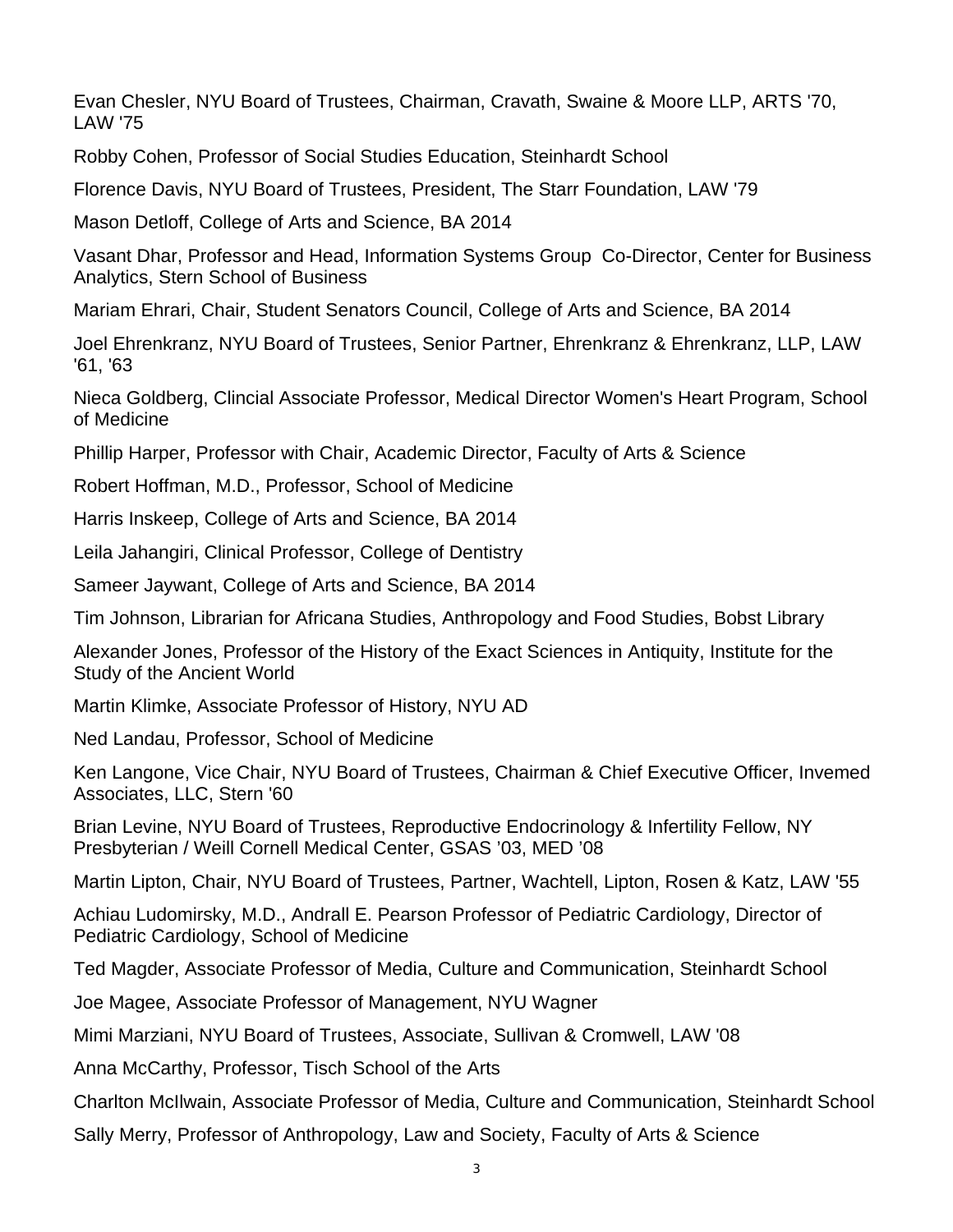Evan Chesler, NYU Board of Trustees, Chairman, Cravath, Swaine & Moore LLP, ARTS '70, LAW '75

Robby Cohen, Professor of Social Studies Education, Steinhardt School

Florence Davis, NYU Board of Trustees, President, The Starr Foundation, LAW '79

Mason Detloff, College of Arts and Science, BA 2014

Vasant Dhar, Professor and Head, Information Systems Group Co-Director, Center for Business Analytics, Stern School of Business

Mariam Ehrari, Chair, Student Senators Council, College of Arts and Science, BA 2014

Joel Ehrenkranz, NYU Board of Trustees, Senior Partner, Ehrenkranz & Ehrenkranz, LLP, LAW '61, '63

Nieca Goldberg, Clincial Associate Professor, Medical Director Women's Heart Program, School of Medicine

Phillip Harper, Professor with Chair, Academic Director, Faculty of Arts & Science

Robert Hoffman, M.D., Professor, School of Medicine

Harris Inskeep, College of Arts and Science, BA 2014

Leila Jahangiri, Clinical Professor, College of Dentistry

Sameer Jaywant, College of Arts and Science, BA 2014

Tim Johnson, Librarian for Africana Studies, Anthropology and Food Studies, Bobst Library

Alexander Jones, Professor of the History of the Exact Sciences in Antiquity, Institute for the Study of the Ancient World

Martin Klimke, Associate Professor of History, NYU AD

Ned Landau, Professor, School of Medicine

Ken Langone, Vice Chair, NYU Board of Trustees, Chairman & Chief Executive Officer, Invemed Associates, LLC, Stern '60

Brian Levine, NYU Board of Trustees, Reproductive Endocrinology & Infertility Fellow, NY Presbyterian / Weill Cornell Medical Center, GSAS '03, MED '08

Martin Lipton, Chair, NYU Board of Trustees, Partner, Wachtell, Lipton, Rosen & Katz, LAW '55

Achiau Ludomirsky, M.D., Andrall E. Pearson Professor of Pediatric Cardiology, Director of Pediatric Cardiology, School of Medicine

Ted Magder, Associate Professor of Media, Culture and Communication, Steinhardt School

Joe Magee, Associate Professor of Management, NYU Wagner

Mimi Marziani, NYU Board of Trustees, Associate, Sullivan & Cromwell, LAW '08

Anna McCarthy, Professor, Tisch School of the Arts

Charlton McIlwain, Associate Professor of Media, Culture and Communication, Steinhardt School

Sally Merry, Professor of Anthropology, Law and Society, Faculty of Arts & Science